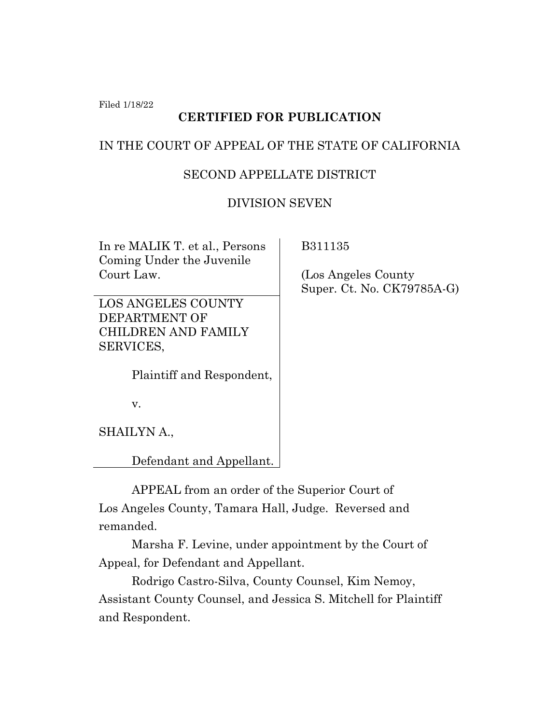Filed 1/18/22

# **CERTIFIED FOR PUBLICATION**

## IN THE COURT OF APPEAL OF THE STATE OF CALIFORNIA

## SECOND APPELLATE DISTRICT

## DIVISION SEVEN

| In re MALIK T. et al., Persons<br>Coming Under the Juvenile | B311135                                            |
|-------------------------------------------------------------|----------------------------------------------------|
| Court Law.                                                  | (Los Angeles County)<br>Super. Ct. No. CK79785A-G) |
| LOS ANGELES COUNTY                                          |                                                    |
| DEPARTMENT OF                                               |                                                    |
| CHILDREN AND FAMILY                                         |                                                    |
| SERVICES,                                                   |                                                    |
| Plaintiff and Respondent,                                   |                                                    |
| v.                                                          |                                                    |
|                                                             |                                                    |
| SHAILYN A.,                                                 |                                                    |
| Defendant and Appellant.                                    |                                                    |
| APPEAL from an order of the Superior Court of               |                                                    |

Los Angeles County, Tamara Hall, Judge. Reversed and remanded.

Marsha F. Levine, under appointment by the Court of Appeal, for Defendant and Appellant.

Rodrigo Castro-Silva, County Counsel, Kim Nemoy, Assistant County Counsel, and Jessica S. Mitchell for Plaintiff and Respondent.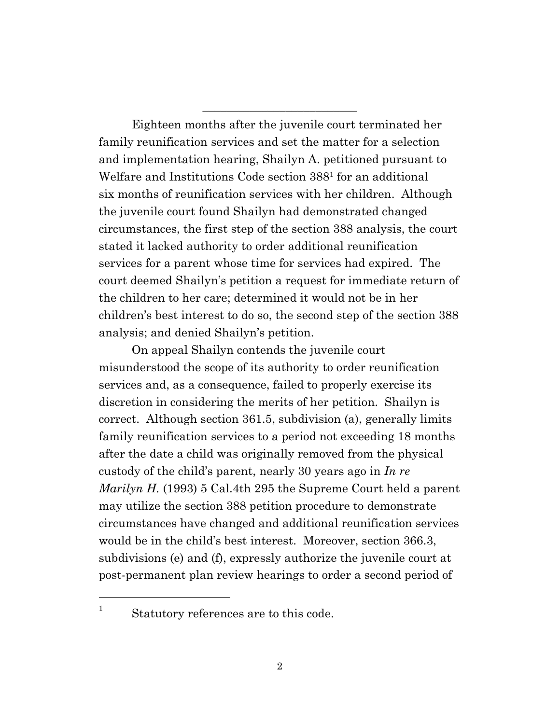Eighteen months after the juvenile court terminated her family reunification services and set the matter for a selection and implementation hearing, Shailyn A. petitioned pursuant to Welfare and Institutions Code section 388<sup>1</sup> for an additional six months of reunification services with her children. Although the juvenile court found Shailyn had demonstrated changed circumstances, the first step of the section 388 analysis, the court stated it lacked authority to order additional reunification services for a parent whose time for services had expired. The court deemed Shailyn's petition a request for immediate return of the children to her care; determined it would not be in her children's best interest to do so, the second step of the section 388 analysis; and denied Shailyn's petition.

\_\_\_\_\_\_\_\_\_\_\_\_\_\_\_\_\_\_\_\_\_\_\_\_\_\_

On appeal Shailyn contends the juvenile court misunderstood the scope of its authority to order reunification services and, as a consequence, failed to properly exercise its discretion in considering the merits of her petition. Shailyn is correct. Although section 361.5, subdivision (a), generally limits family reunification services to a period not exceeding 18 months after the date a child was originally removed from the physical custody of the child's parent, nearly 30 years ago in *In re Marilyn H.* (1993) 5 Cal.4th 295 the Supreme Court held a parent may utilize the section 388 petition procedure to demonstrate circumstances have changed and additional reunification services would be in the child's best interest. Moreover, section 366.3, subdivisions (e) and (f), expressly authorize the juvenile court at post-permanent plan review hearings to order a second period of

Statutory references are to this code.

1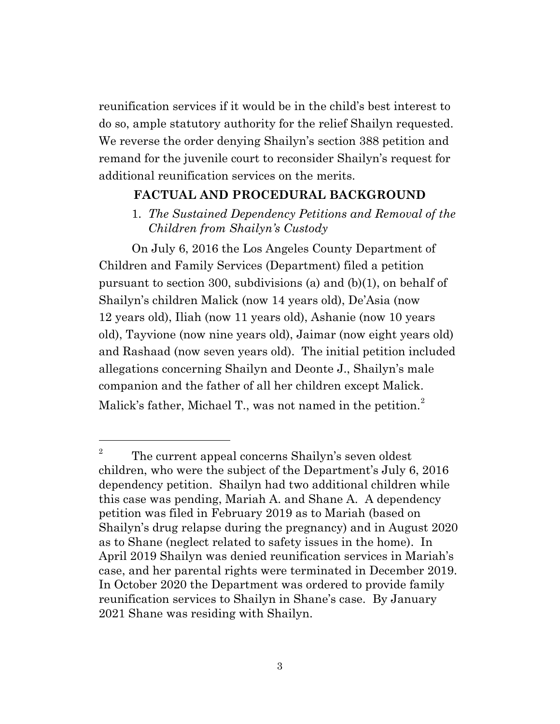reunification services if it would be in the child's best interest to do so, ample statutory authority for the relief Shailyn requested. We reverse the order denying Shailyn's section 388 petition and remand for the juvenile court to reconsider Shailyn's request for additional reunification services on the merits.

### **FACTUAL AND PROCEDURAL BACKGROUND**

1. *The Sustained Dependency Petitions and Removal of the Children from Shailyn's Custody*

On July 6, 2016 the Los Angeles County Department of Children and Family Services (Department) filed a petition pursuant to section 300, subdivisions (a) and (b)(1), on behalf of Shailyn's children Malick (now 14 years old), De'Asia (now 12 years old), Iliah (now 11 years old), Ashanie (now 10 years old), Tayvione (now nine years old), Jaimar (now eight years old) and Rashaad (now seven years old). The initial petition included allegations concerning Shailyn and Deonte J., Shailyn's male companion and the father of all her children except Malick. Malick's father, Michael T., was not named in the petition.<sup>2</sup>

<sup>2</sup> The current appeal concerns Shailyn's seven oldest children, who were the subject of the Department's July 6, 2016 dependency petition. Shailyn had two additional children while this case was pending, Mariah A. and Shane A. A dependency petition was filed in February 2019 as to Mariah (based on Shailyn's drug relapse during the pregnancy) and in August 2020 as to Shane (neglect related to safety issues in the home). In April 2019 Shailyn was denied reunification services in Mariah's case, and her parental rights were terminated in December 2019. In October 2020 the Department was ordered to provide family reunification services to Shailyn in Shane's case. By January 2021 Shane was residing with Shailyn.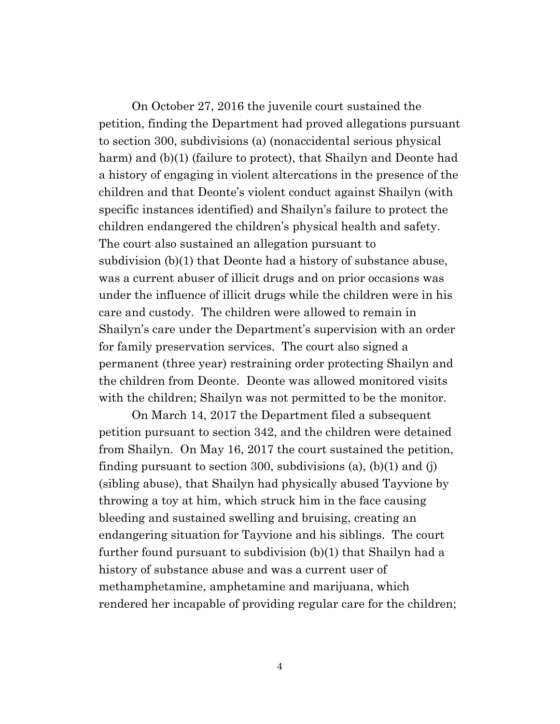On October 27, 2016 the juvenile court sustained the petition, finding the Department had proved allegations pursuant to section 300, subdivisions (a) (nonaccidental serious physical harm) and (b)(1) (failure to protect), that Shailyn and Deonte had a history of engaging in violent altercations in the presence of the children and that Deonte's violent conduct against Shailyn (with specific instances identified) and Shailyn's failure to protect the children endangered the children's physical health and safety. The court also sustained an allegation pursuant to subdivision (b)(1) that Deonte had a history of substance abuse, was a current abuser of illicit drugs and on prior occasions was under the influence of illicit drugs while the children were in his care and custody. The children were allowed to remain in Shailyn's care under the Department's supervision with an order for family preservation services. The court also signed a permanent (three year) restraining order protecting Shailyn and the children from Deonte. Deonte was allowed monitored visits with the children; Shailyn was not permitted to be the monitor.

On March 14, 2017 the Department filed a subsequent petition pursuant to section 342, and the children were detained from Shailyn. On May 16, 2017 the court sustained the petition, finding pursuant to section 300, subdivisions (a), (b)(1) and (j) (sibling abuse), that Shailyn had physically abused Tayvione by throwing a toy at him, which struck him in the face causing bleeding and sustained swelling and bruising, creating an endangering situation for Tayvione and his siblings. The court further found pursuant to subdivision (b)(1) that Shailyn had a history of substance abuse and was a current user of methamphetamine, amphetamine and marijuana, which rendered her incapable of providing regular care for the children;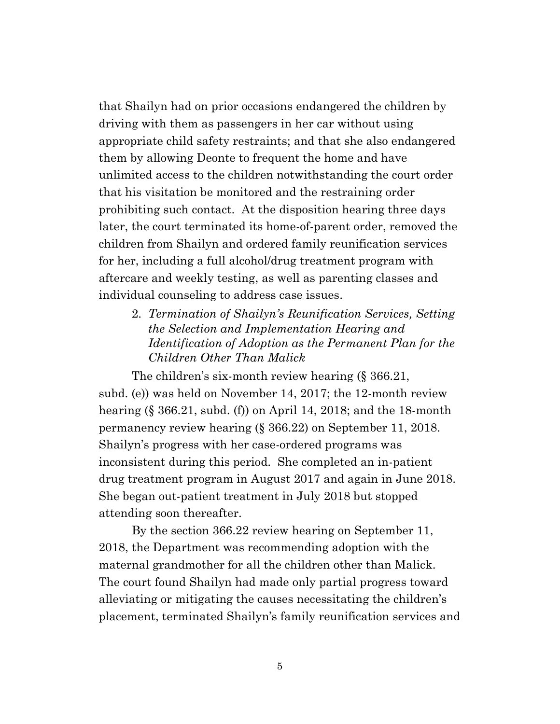that Shailyn had on prior occasions endangered the children by driving with them as passengers in her car without using appropriate child safety restraints; and that she also endangered them by allowing Deonte to frequent the home and have unlimited access to the children notwithstanding the court order that his visitation be monitored and the restraining order prohibiting such contact. At the disposition hearing three days later, the court terminated its home-of-parent order, removed the children from Shailyn and ordered family reunification services for her, including a full alcohol/drug treatment program with aftercare and weekly testing, as well as parenting classes and individual counseling to address case issues.

2. *Termination of Shailyn's Reunification Services, Setting the Selection and Implementation Hearing and Identification of Adoption as the Permanent Plan for the Children Other Than Malick*

The children's six-month review hearing (§ 366.21, subd. (e)) was held on November 14, 2017; the 12-month review hearing (§ 366.21, subd. (f)) on April 14, 2018; and the 18-month permanency review hearing (§ 366.22) on September 11, 2018. Shailyn's progress with her case-ordered programs was inconsistent during this period. She completed an in-patient drug treatment program in August 2017 and again in June 2018. She began out-patient treatment in July 2018 but stopped attending soon thereafter.

By the section 366.22 review hearing on September 11, 2018, the Department was recommending adoption with the maternal grandmother for all the children other than Malick. The court found Shailyn had made only partial progress toward alleviating or mitigating the causes necessitating the children's placement, terminated Shailyn's family reunification services and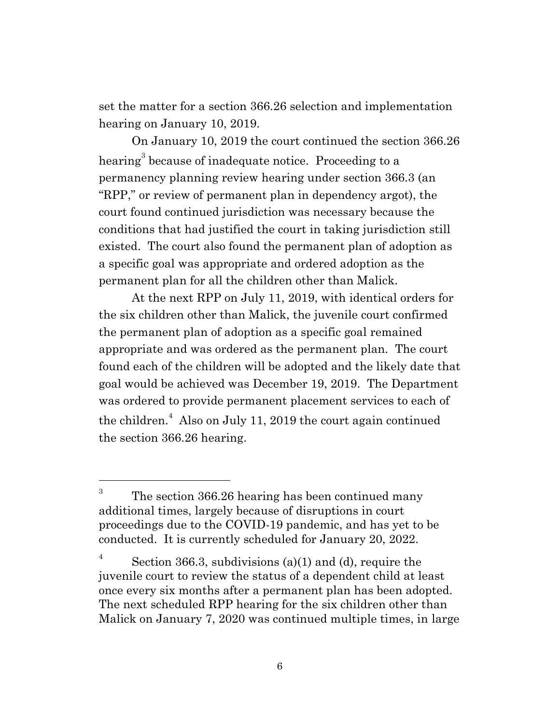set the matter for a section 366.26 selection and implementation hearing on January 10, 2019.

On January 10, 2019 the court continued the section 366.26 hearing<sup>3</sup> because of inadequate notice. Proceeding to a permanency planning review hearing under section 366.3 (an "RPP," or review of permanent plan in dependency argot), the court found continued jurisdiction was necessary because the conditions that had justified the court in taking jurisdiction still existed. The court also found the permanent plan of adoption as a specific goal was appropriate and ordered adoption as the permanent plan for all the children other than Malick.

At the next RPP on July 11, 2019, with identical orders for the six children other than Malick, the juvenile court confirmed the permanent plan of adoption as a specific goal remained appropriate and was ordered as the permanent plan. The court found each of the children will be adopted and the likely date that goal would be achieved was December 19, 2019. The Department was ordered to provide permanent placement services to each of the children.<sup>4</sup> Also on July 11, 2019 the court again continued the section 366.26 hearing.

<sup>3</sup> The section 366.26 hearing has been continued many additional times, largely because of disruptions in court proceedings due to the COVID-19 pandemic, and has yet to be conducted. It is currently scheduled for January 20, 2022.

<sup>4</sup> Section 366.3, subdivisions (a)(1) and (d), require the juvenile court to review the status of a dependent child at least once every six months after a permanent plan has been adopted. The next scheduled RPP hearing for the six children other than Malick on January 7, 2020 was continued multiple times, in large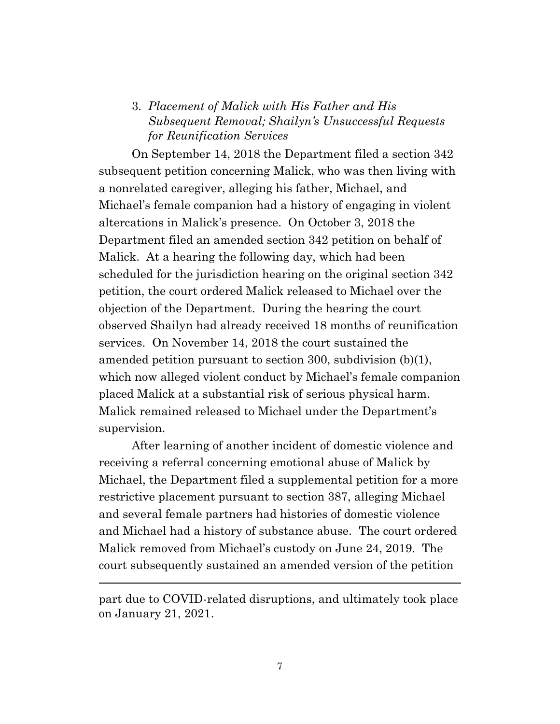# 3. *Placement of Malick with His Father and His Subsequent Removal; Shailyn's Unsuccessful Requests for Reunification Services*

On September 14, 2018 the Department filed a section 342 subsequent petition concerning Malick, who was then living with a nonrelated caregiver, alleging his father, Michael, and Michael's female companion had a history of engaging in violent altercations in Malick's presence. On October 3, 2018 the Department filed an amended section 342 petition on behalf of Malick. At a hearing the following day, which had been scheduled for the jurisdiction hearing on the original section 342 petition, the court ordered Malick released to Michael over the objection of the Department. During the hearing the court observed Shailyn had already received 18 months of reunification services. On November 14, 2018 the court sustained the amended petition pursuant to section 300, subdivision (b)(1), which now alleged violent conduct by Michael's female companion placed Malick at a substantial risk of serious physical harm. Malick remained released to Michael under the Department's supervision.

After learning of another incident of domestic violence and receiving a referral concerning emotional abuse of Malick by Michael, the Department filed a supplemental petition for a more restrictive placement pursuant to section 387, alleging Michael and several female partners had histories of domestic violence and Michael had a history of substance abuse. The court ordered Malick removed from Michael's custody on June 24, 2019. The court subsequently sustained an amended version of the petition

part due to COVID-related disruptions, and ultimately took place on January 21, 2021.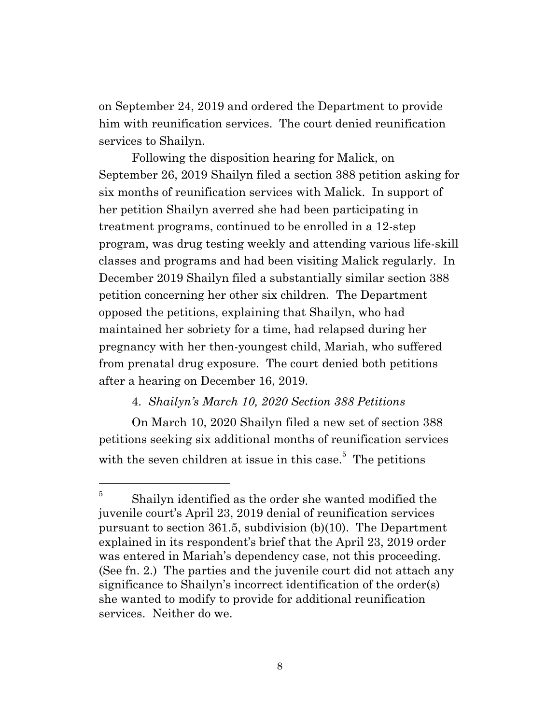on September 24, 2019 and ordered the Department to provide him with reunification services. The court denied reunification services to Shailyn.

Following the disposition hearing for Malick, on September 26, 2019 Shailyn filed a section 388 petition asking for six months of reunification services with Malick. In support of her petition Shailyn averred she had been participating in treatment programs, continued to be enrolled in a 12-step program, was drug testing weekly and attending various life-skill classes and programs and had been visiting Malick regularly. In December 2019 Shailyn filed a substantially similar section 388 petition concerning her other six children. The Department opposed the petitions, explaining that Shailyn, who had maintained her sobriety for a time, had relapsed during her pregnancy with her then-youngest child, Mariah, who suffered from prenatal drug exposure. The court denied both petitions after a hearing on December 16, 2019.

### 4. *Shailyn's March 10, 2020 Section 388 Petitions*

On March 10, 2020 Shailyn filed a new set of section 388 petitions seeking six additional months of reunification services with the seven children at issue in this case.<sup>5</sup> The petitions

<sup>5</sup> Shailyn identified as the order she wanted modified the juvenile court's April 23, 2019 denial of reunification services pursuant to section 361.5, subdivision (b)(10). The Department explained in its respondent's brief that the April 23, 2019 order was entered in Mariah's dependency case, not this proceeding. (See fn. 2.) The parties and the juvenile court did not attach any significance to Shailyn's incorrect identification of the order(s) she wanted to modify to provide for additional reunification services. Neither do we.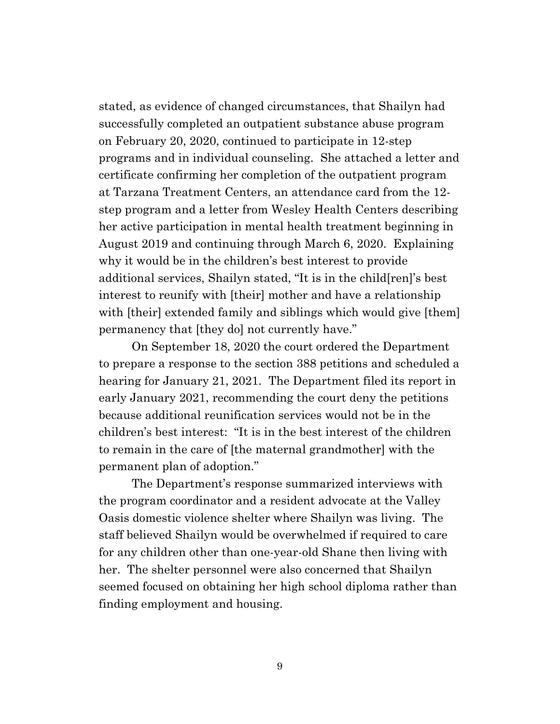stated, as evidence of changed circumstances, that Shailyn had successfully completed an outpatient substance abuse program on February 20, 2020, continued to participate in 12-step programs and in individual counseling. She attached a letter and certificate confirming her completion of the outpatient program at Tarzana Treatment Centers, an attendance card from the 12 step program and a letter from Wesley Health Centers describing her active participation in mental health treatment beginning in August 2019 and continuing through March 6, 2020. Explaining why it would be in the children's best interest to provide additional services, Shailyn stated, "It is in the child[ren]'s best interest to reunify with [their] mother and have a relationship with [their] extended family and siblings which would give [them] permanency that [they do] not currently have."

On September 18, 2020 the court ordered the Department to prepare a response to the section 388 petitions and scheduled a hearing for January 21, 2021. The Department filed its report in early January 2021, recommending the court deny the petitions because additional reunification services would not be in the children's best interest: "It is in the best interest of the children to remain in the care of [the maternal grandmother] with the permanent plan of adoption."

The Department's response summarized interviews with the program coordinator and a resident advocate at the Valley Oasis domestic violence shelter where Shailyn was living. The staff believed Shailyn would be overwhelmed if required to care for any children other than one-year-old Shane then living with her. The shelter personnel were also concerned that Shailyn seemed focused on obtaining her high school diploma rather than finding employment and housing.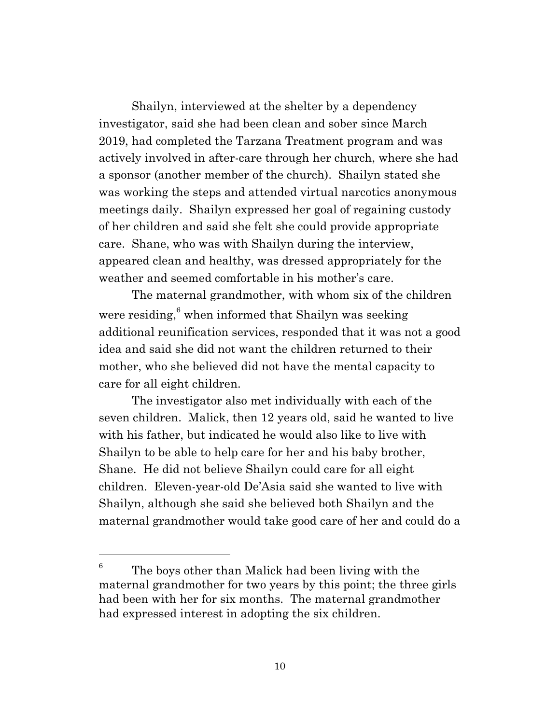Shailyn, interviewed at the shelter by a dependency investigator, said she had been clean and sober since March 2019, had completed the Tarzana Treatment program and was actively involved in after-care through her church, where she had a sponsor (another member of the church). Shailyn stated she was working the steps and attended virtual narcotics anonymous meetings daily. Shailyn expressed her goal of regaining custody of her children and said she felt she could provide appropriate care. Shane, who was with Shailyn during the interview, appeared clean and healthy, was dressed appropriately for the weather and seemed comfortable in his mother's care.

The maternal grandmother, with whom six of the children were residing, $6 \text{ when informed that Shailyn was seeking}$ additional reunification services, responded that it was not a good idea and said she did not want the children returned to their mother, who she believed did not have the mental capacity to care for all eight children.

The investigator also met individually with each of the seven children. Malick, then 12 years old, said he wanted to live with his father, but indicated he would also like to live with Shailyn to be able to help care for her and his baby brother, Shane. He did not believe Shailyn could care for all eight children. Eleven-year-old De'Asia said she wanted to live with Shailyn, although she said she believed both Shailyn and the maternal grandmother would take good care of her and could do a

<sup>6</sup> The boys other than Malick had been living with the maternal grandmother for two years by this point; the three girls had been with her for six months. The maternal grandmother had expressed interest in adopting the six children.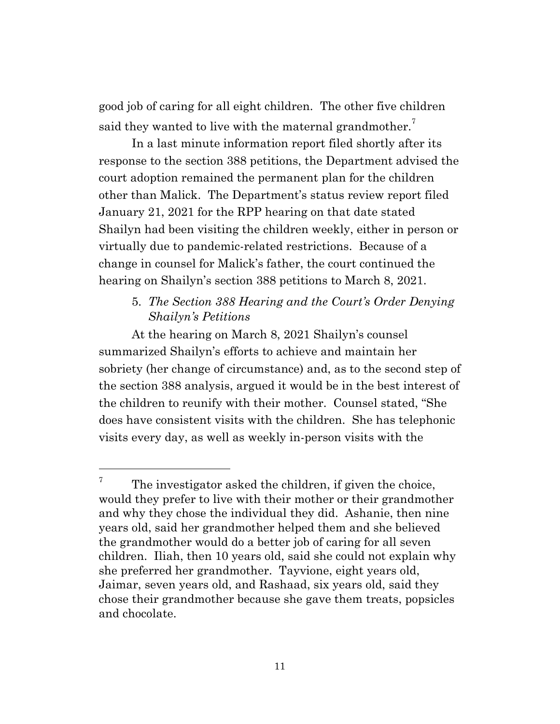good job of caring for all eight children. The other five children said they wanted to live with the maternal grandmother.<sup>7</sup>

In a last minute information report filed shortly after its response to the section 388 petitions, the Department advised the court adoption remained the permanent plan for the children other than Malick. The Department's status review report filed January 21, 2021 for the RPP hearing on that date stated Shailyn had been visiting the children weekly, either in person or virtually due to pandemic-related restrictions. Because of a change in counsel for Malick's father, the court continued the hearing on Shailyn's section 388 petitions to March 8, 2021.

## 5. *The Section 388 Hearing and the Court's Order Denying Shailyn's Petitions*

At the hearing on March 8, 2021 Shailyn's counsel summarized Shailyn's efforts to achieve and maintain her sobriety (her change of circumstance) and, as to the second step of the section 388 analysis, argued it would be in the best interest of the children to reunify with their mother. Counsel stated, "She does have consistent visits with the children. She has telephonic visits every day, as well as weekly in-person visits with the

<sup>7</sup> The investigator asked the children, if given the choice, would they prefer to live with their mother or their grandmother and why they chose the individual they did. Ashanie, then nine years old, said her grandmother helped them and she believed the grandmother would do a better job of caring for all seven children. Iliah, then 10 years old, said she could not explain why she preferred her grandmother. Tayvione, eight years old, Jaimar, seven years old, and Rashaad, six years old, said they chose their grandmother because she gave them treats, popsicles and chocolate.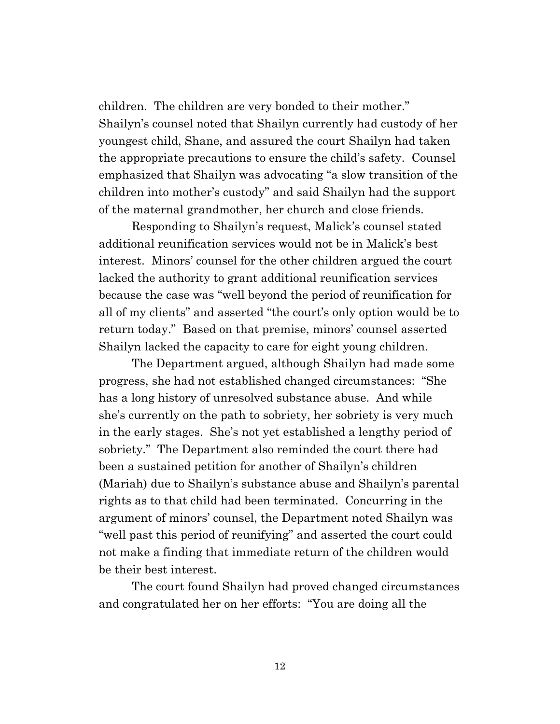children. The children are very bonded to their mother." Shailyn's counsel noted that Shailyn currently had custody of her youngest child, Shane, and assured the court Shailyn had taken the appropriate precautions to ensure the child's safety. Counsel emphasized that Shailyn was advocating "a slow transition of the children into mother's custody" and said Shailyn had the support of the maternal grandmother, her church and close friends.

Responding to Shailyn's request, Malick's counsel stated additional reunification services would not be in Malick's best interest. Minors' counsel for the other children argued the court lacked the authority to grant additional reunification services because the case was "well beyond the period of reunification for all of my clients" and asserted "the court's only option would be to return today." Based on that premise, minors' counsel asserted Shailyn lacked the capacity to care for eight young children.

The Department argued, although Shailyn had made some progress, she had not established changed circumstances: "She has a long history of unresolved substance abuse. And while she's currently on the path to sobriety, her sobriety is very much in the early stages. She's not yet established a lengthy period of sobriety." The Department also reminded the court there had been a sustained petition for another of Shailyn's children (Mariah) due to Shailyn's substance abuse and Shailyn's parental rights as to that child had been terminated. Concurring in the argument of minors' counsel, the Department noted Shailyn was "well past this period of reunifying" and asserted the court could not make a finding that immediate return of the children would be their best interest.

The court found Shailyn had proved changed circumstances and congratulated her on her efforts: "You are doing all the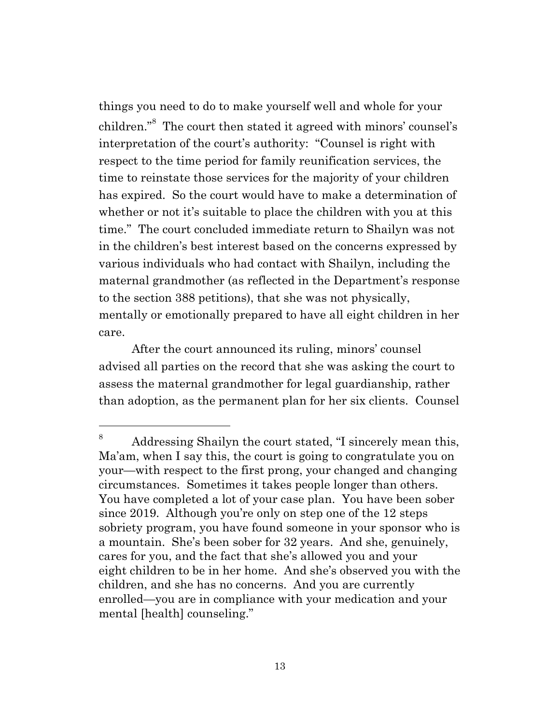things you need to do to make yourself well and whole for your children."<sup>8</sup> The court then stated it agreed with minors' counsel's interpretation of the court's authority: "Counsel is right with respect to the time period for family reunification services, the time to reinstate those services for the majority of your children has expired. So the court would have to make a determination of whether or not it's suitable to place the children with you at this time." The court concluded immediate return to Shailyn was not in the children's best interest based on the concerns expressed by various individuals who had contact with Shailyn, including the maternal grandmother (as reflected in the Department's response to the section 388 petitions), that she was not physically, mentally or emotionally prepared to have all eight children in her care.

After the court announced its ruling, minors' counsel advised all parties on the record that she was asking the court to assess the maternal grandmother for legal guardianship, rather than adoption, as the permanent plan for her six clients. Counsel

<sup>&</sup>lt;sup>8</sup> Addressing Shailyn the court stated, "I sincerely mean this, Ma'am, when I say this, the court is going to congratulate you on your—with respect to the first prong, your changed and changing circumstances. Sometimes it takes people longer than others. You have completed a lot of your case plan. You have been sober since 2019. Although you're only on step one of the 12 steps sobriety program, you have found someone in your sponsor who is a mountain. She's been sober for 32 years. And she, genuinely, cares for you, and the fact that she's allowed you and your eight children to be in her home. And she's observed you with the children, and she has no concerns. And you are currently enrolled—you are in compliance with your medication and your mental [health] counseling."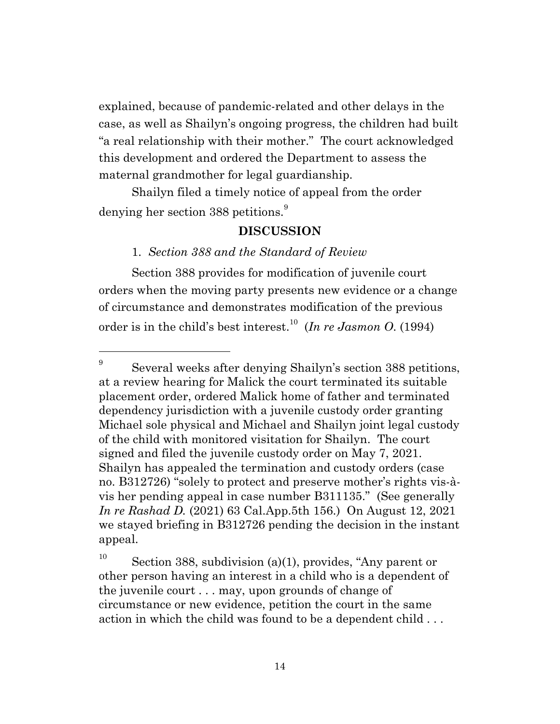explained, because of pandemic-related and other delays in the case, as well as Shailyn's ongoing progress, the children had built "a real relationship with their mother." The court acknowledged this development and ordered the Department to assess the maternal grandmother for legal guardianship.

Shailyn filed a timely notice of appeal from the order denying her section 388 petitions.<sup>9</sup>

#### **DISCUSSION**

#### 1. *Section 388 and the Standard of Review*

Section 388 provides for modification of juvenile court orders when the moving party presents new evidence or a change of circumstance and demonstrates modification of the previous order is in the child's best interest.<sup>10</sup> (*In re Jasmon O*. (1994)

<sup>9</sup> Several weeks after denying Shailyn's section 388 petitions, at a review hearing for Malick the court terminated its suitable placement order, ordered Malick home of father and terminated dependency jurisdiction with a juvenile custody order granting Michael sole physical and Michael and Shailyn joint legal custody of the child with monitored visitation for Shailyn. The court signed and filed the juvenile custody order on May 7, 2021. Shailyn has appealed the termination and custody orders (case no. B312726) "solely to protect and preserve mother's rights vis-àvis her pending appeal in case number B311135." (See generally *In re Rashad D.* (2021) 63 Cal.App.5th 156.) On August 12, 2021 we stayed briefing in B312726 pending the decision in the instant appeal.

<sup>&</sup>lt;sup>10</sup> Section 388, subdivision (a)(1), provides, "Any parent or other person having an interest in a child who is a dependent of the juvenile court . . . may, upon grounds of change of circumstance or new evidence, petition the court in the same action in which the child was found to be a dependent child . . .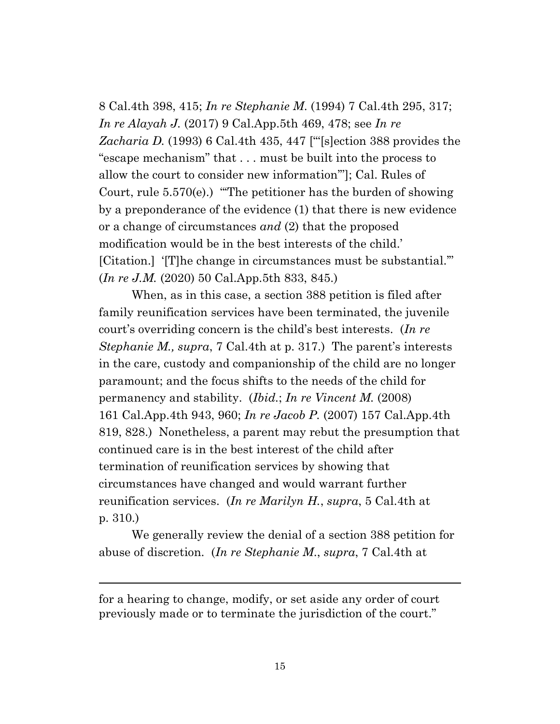8 Cal.4th 398, 415; *In re Stephanie M*. (1994) 7 Cal.4th 295, 317; *In re Alayah J.* (2017) 9 Cal.App.5th 469, 478; see *In re Zacharia D.* (1993) 6 Cal.4th 435, 447 ["'[s]ection 388 provides the "escape mechanism" that . . . must be built into the process to allow the court to consider new information'"]; Cal. Rules of Court, rule 5.570(e).) "'The petitioner has the burden of showing by a preponderance of the evidence (1) that there is new evidence or a change of circumstances *and* (2) that the proposed modification would be in the best interests of the child.' [Citation.] '[T]he change in circumstances must be substantial.'" (*In re J.M.* (2020) 50 Cal.App.5th 833, 845.)

When, as in this case, a section 388 petition is filed after family reunification services have been terminated, the juvenile court's overriding concern is the child's best interests. (*In re Stephanie M., supra*, 7 Cal.4th at p. 317.) The parent's interests in the care, custody and companionship of the child are no longer paramount; and the focus shifts to the needs of the child for permanency and stability. (*Ibid.*; *In re Vincent M.* (2008) 161 Cal.App.4th 943, 960; *In re Jacob P.* (2007) 157 Cal.App.4th 819, 828.) Nonetheless, a parent may rebut the presumption that continued care is in the best interest of the child after termination of reunification services by showing that circumstances have changed and would warrant further reunification services. (*In re Marilyn H.*, *supra*, 5 Cal.4th at p. 310.)

We generally review the denial of a section 388 petition for abuse of discretion. (*In re Stephanie M*., *supra*, 7 Cal.4th at

for a hearing to change, modify, or set aside any order of court previously made or to terminate the jurisdiction of the court."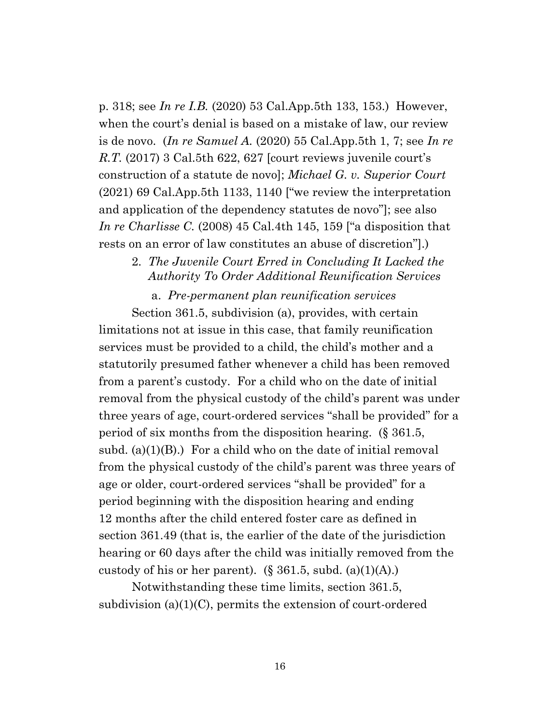p. 318; see *In re I.B.* (2020) 53 Cal.App.5th 133, 153.) However, when the court's denial is based on a mistake of law, our review is de novo. (*In re Samuel A.* (2020) 55 Cal.App.5th 1, 7; see *In re R.T.* (2017) 3 Cal.5th 622, 627 [court reviews juvenile court's construction of a statute de novo]; *Michael G. v. Superior Court* (2021) 69 Cal.App.5th 1133, 1140 ["we review the interpretation and application of the dependency statutes de novo"]; see also *In re Charlisse C.* (2008) 45 Cal.4th 145, 159 ["a disposition that rests on an error of law constitutes an abuse of discretion"].)

2. *The Juvenile Court Erred in Concluding It Lacked the Authority To Order Additional Reunification Services*

a. *Pre-permanent plan reunification services*

Section 361.5, subdivision (a), provides, with certain limitations not at issue in this case, that family reunification services must be provided to a child, the child's mother and a statutorily presumed father whenever a child has been removed from a parent's custody. For a child who on the date of initial removal from the physical custody of the child's parent was under three years of age, court-ordered services "shall be provided" for a period of six months from the disposition hearing. (§ 361.5, subd.  $(a)(1)(B)$ .) For a child who on the date of initial removal from the physical custody of the child's parent was three years of age or older, court-ordered services "shall be provided" for a period beginning with the disposition hearing and ending 12 months after the child entered foster care as defined in section 361.49 (that is, the earlier of the date of the jurisdiction hearing or 60 days after the child was initially removed from the custody of his or her parent).  $(\S 361.5, \text{subd. (a)(1)(A))})$ 

Notwithstanding these time limits, section 361.5, subdivision (a)(1)(C), permits the extension of court-ordered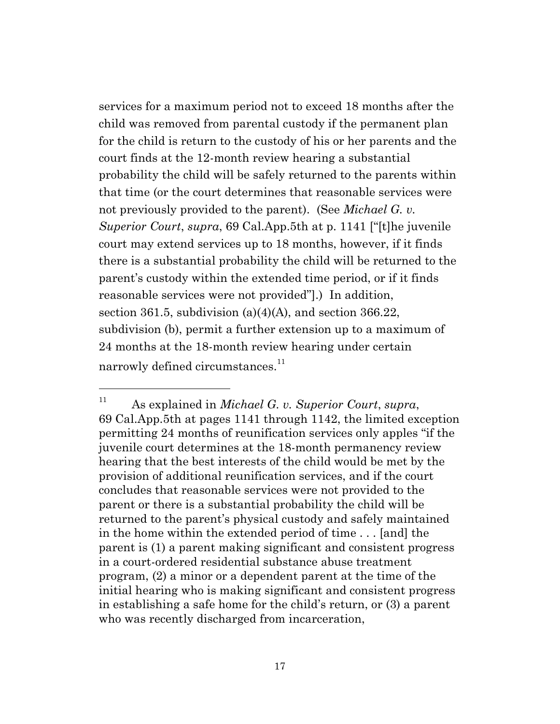services for a maximum period not to exceed 18 months after the child was removed from parental custody if the permanent plan for the child is return to the custody of his or her parents and the court finds at the 12-month review hearing a substantial probability the child will be safely returned to the parents within that time (or the court determines that reasonable services were not previously provided to the parent). (See *Michael G. v. Superior Court*, *supra*, 69 Cal.App.5th at p. 1141 ["[t]he juvenile court may extend services up to 18 months, however, if it finds there is a substantial probability the child will be returned to the parent's custody within the extended time period, or if it finds reasonable services were not provided"].) In addition, section 361.5, subdivision  $(a)(4)(A)$ , and section 366.22, subdivision (b), permit a further extension up to a maximum of 24 months at the 18-month review hearing under certain narrowly defined circumstances.<sup>11</sup>

<sup>11</sup> As explained in *Michael G. v. Superior Court*, *supra*, 69 Cal.App.5th at pages 1141 through 1142, the limited exception permitting 24 months of reunification services only apples "if the juvenile court determines at the 18-month permanency review hearing that the best interests of the child would be met by the provision of additional reunification services, and if the court concludes that reasonable services were not provided to the parent or there is a substantial probability the child will be returned to the parent's physical custody and safely maintained in the home within the extended period of time . . . [and] the parent is (1) a parent making significant and consistent progress in a court-ordered residential substance abuse treatment program, (2) a minor or a dependent parent at the time of the initial hearing who is making significant and consistent progress in establishing a safe home for the child's return, or (3) a parent who was recently discharged from incarceration,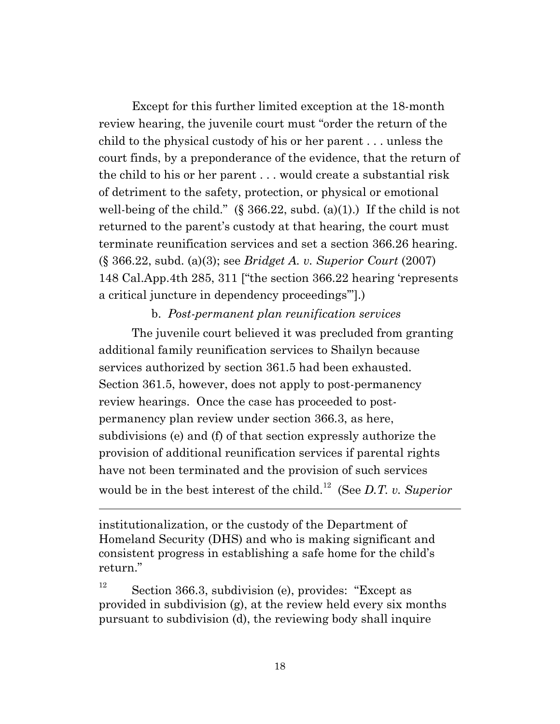Except for this further limited exception at the 18-month review hearing, the juvenile court must "order the return of the child to the physical custody of his or her parent . . . unless the court finds, by a preponderance of the evidence, that the return of the child to his or her parent . . . would create a substantial risk of detriment to the safety, protection, or physical or emotional well-being of the child." (§ 366.22, subd. (a)(1).) If the child is not returned to the parent's custody at that hearing, the court must terminate reunification services and set a section 366.26 hearing. (§ 366.22, subd. (a)(3); see *Bridget A. v. Superior Court* (2007) 148 Cal.App.4th 285, 311 ["the section 366.22 hearing 'represents a critical juncture in dependency proceedings'"].)

#### b. *Post-permanent plan reunification services*

The juvenile court believed it was precluded from granting additional family reunification services to Shailyn because services authorized by section 361.5 had been exhausted. Section 361.5, however, does not apply to post-permanency review hearings. Once the case has proceeded to postpermanency plan review under section 366.3, as here, subdivisions (e) and (f) of that section expressly authorize the provision of additional reunification services if parental rights have not been terminated and the provision of such services would be in the best interest of the child.<sup>12</sup> (See *D.T. v. Superior* 

institutionalization, or the custody of the Department of Homeland Security (DHS) and who is making significant and consistent progress in establishing a safe home for the child's return."

<sup>12</sup> Section 366.3, subdivision (e), provides: "Except as provided in subdivision (g), at the review held every six months pursuant to subdivision (d), the reviewing body shall inquire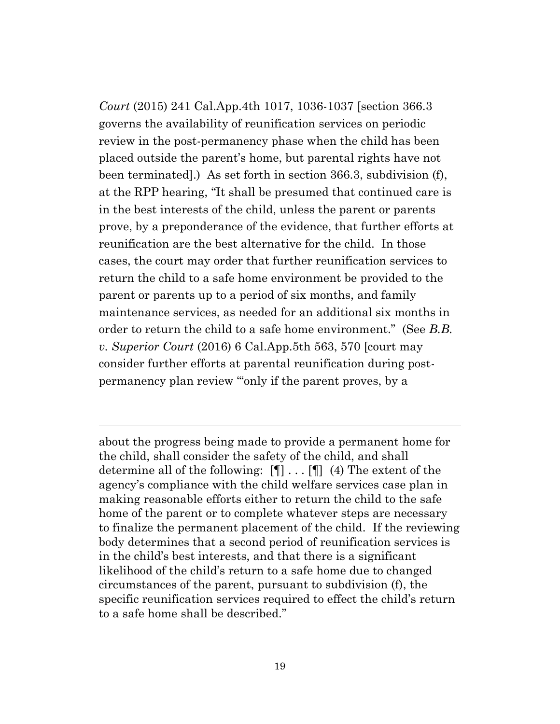*Court* (2015) 241 Cal.App.4th 1017, 1036-1037 [section 366.3 governs the availability of reunification services on periodic review in the post-permanency phase when the child has been placed outside the parent's home, but parental rights have not been terminated].) As set forth in section 366.3, subdivision (f), at the RPP hearing, "It shall be presumed that continued care is in the best interests of the child, unless the parent or parents prove, by a preponderance of the evidence, that further efforts at reunification are the best alternative for the child. In those cases, the court may order that further reunification services to return the child to a safe home environment be provided to the parent or parents up to a period of six months, and family maintenance services, as needed for an additional six months in order to return the child to a safe home environment." (See *B.B. v. Superior Court* (2016) 6 Cal.App.5th 563, 570 [court may consider further efforts at parental reunification during postpermanency plan review "'only if the parent proves, by a

about the progress being made to provide a permanent home for the child, shall consider the safety of the child, and shall determine all of the following:  $[\n\mathcal{L}] \ldots [\n\mathcal{L}]$  (4) The extent of the agency's compliance with the child welfare services case plan in making reasonable efforts either to return the child to the safe home of the parent or to complete whatever steps are necessary to finalize the permanent placement of the child. If the reviewing body determines that a second period of reunification services is in the child's best interests, and that there is a significant likelihood of the child's return to a safe home due to changed circumstances of the parent, pursuant to subdivision (f), the specific reunification services required to effect the child's return to a safe home shall be described."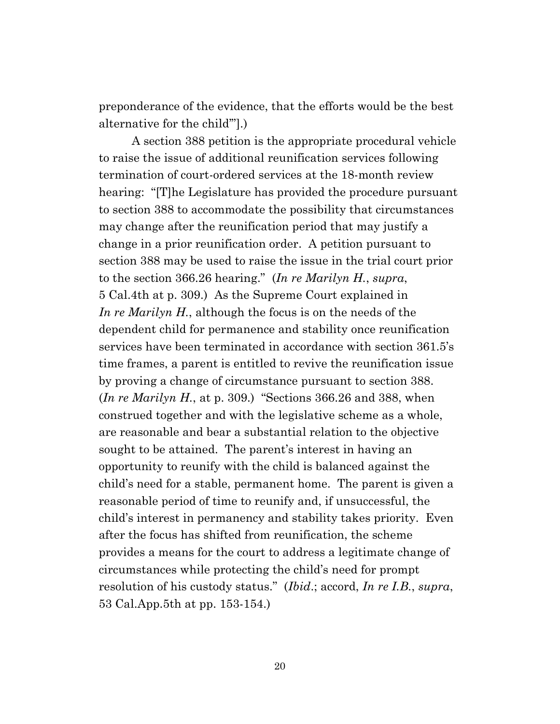preponderance of the evidence, that the efforts would be the best alternative for the child'"].)

A section 388 petition is the appropriate procedural vehicle to raise the issue of additional reunification services following termination of court-ordered services at the 18-month review hearing: "[T]he Legislature has provided the procedure pursuant to section 388 to accommodate the possibility that circumstances may change after the reunification period that may justify a change in a prior reunification order. A petition pursuant to section 388 may be used to raise the issue in the trial court prior to the section 366.26 hearing." (*In re Marilyn H.*, *supra*, 5 Cal.4th at p. 309.) As the Supreme Court explained in *In re Marilyn H.*, although the focus is on the needs of the dependent child for permanence and stability once reunification services have been terminated in accordance with section 361.5's time frames, a parent is entitled to revive the reunification issue by proving a change of circumstance pursuant to section 388. (*In re Marilyn H.*, at p. 309.) "Sections 366.26 and 388, when construed together and with the legislative scheme as a whole, are reasonable and bear a substantial relation to the objective sought to be attained. The parent's interest in having an opportunity to reunify with the child is balanced against the child's need for a stable, permanent home. The parent is given a reasonable period of time to reunify and, if unsuccessful, the child's interest in permanency and stability takes priority. Even after the focus has shifted from reunification, the scheme provides a means for the court to address a legitimate change of circumstances while protecting the child's need for prompt resolution of his custody status." (*Ibid*.; accord, *In re I.B.*, *supra*, 53 Cal.App.5th at pp. 153-154.)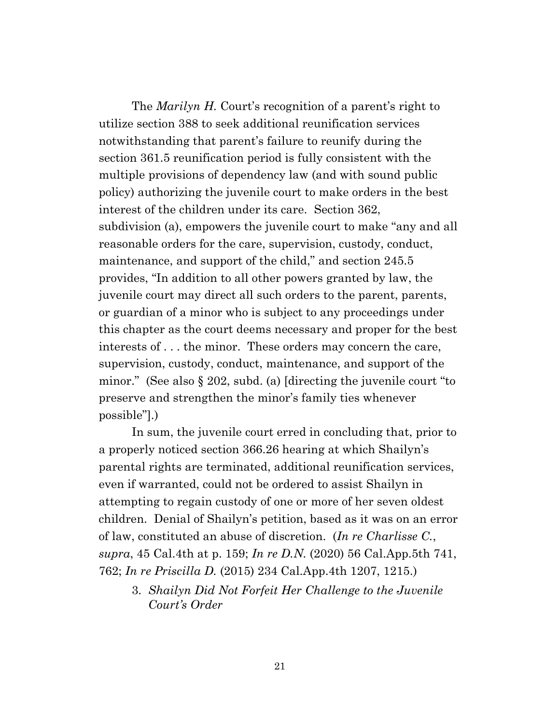The *Marilyn H.* Court's recognition of a parent's right to utilize section 388 to seek additional reunification services notwithstanding that parent's failure to reunify during the section 361.5 reunification period is fully consistent with the multiple provisions of dependency law (and with sound public policy) authorizing the juvenile court to make orders in the best interest of the children under its care. Section 362, subdivision (a), empowers the juvenile court to make "any and all reasonable orders for the care, supervision, custody, conduct, maintenance, and support of the child," and section 245.5 provides, "In addition to all other powers granted by law, the juvenile court may direct all such orders to the parent, parents, or guardian of a minor who is subject to any proceedings under this chapter as the court deems necessary and proper for the best interests of . . . the minor. These orders may concern the care, supervision, custody, conduct, maintenance, and support of the minor." (See also § 202, subd. (a) [directing the juvenile court "to preserve and strengthen the minor's family ties whenever possible"].)

In sum, the juvenile court erred in concluding that, prior to a properly noticed section 366.26 hearing at which Shailyn's parental rights are terminated, additional reunification services, even if warranted, could not be ordered to assist Shailyn in attempting to regain custody of one or more of her seven oldest children. Denial of Shailyn's petition, based as it was on an error of law, constituted an abuse of discretion. (*In re Charlisse C.*, *supra*, 45 Cal.4th at p. 159; *In re D.N.* (2020) 56 Cal.App.5th 741, 762; *In re Priscilla D.* (2015) 234 Cal.App.4th 1207, 1215.)

3. *Shailyn Did Not Forfeit Her Challenge to the Juvenile Court's Order*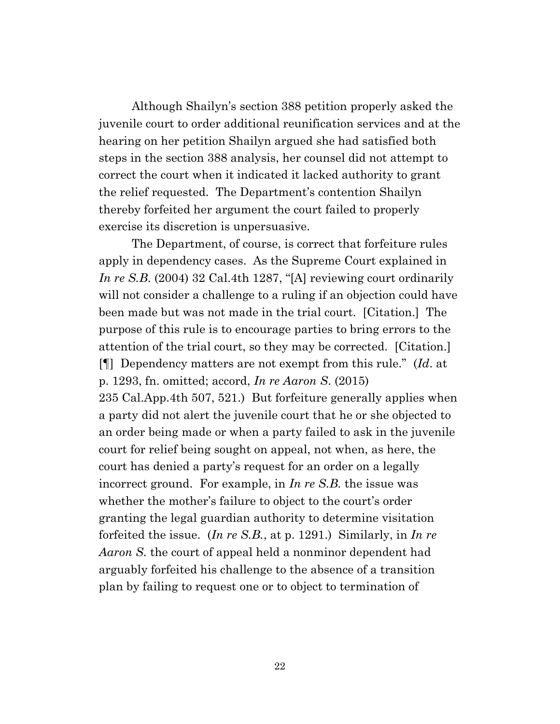Although Shailyn's section 388 petition properly asked the juvenile court to order additional reunification services and at the hearing on her petition Shailyn argued she had satisfied both steps in the section 388 analysis, her counsel did not attempt to correct the court when it indicated it lacked authority to grant the relief requested. The Department's contention Shailyn thereby forfeited her argument the court failed to properly exercise its discretion is unpersuasive.

The Department, of course, is correct that forfeiture rules apply in dependency cases. As the Supreme Court explained in *In re S.B*. (2004) 32 Cal.4th 1287, "[A] reviewing court ordinarily will not consider a challenge to a ruling if an objection could have been made but was not made in the trial court. [Citation.] The purpose of this rule is to encourage parties to bring errors to the attention of the trial court, so they may be corrected. [Citation.] [¶] Dependency matters are not exempt from this rule." (*Id*. at p. 1293, fn. omitted; accord, *In re Aaron S*. (2015) 235 Cal.App.4th 507, 521.) But forfeiture generally applies when a party did not alert the juvenile court that he or she objected to an order being made or when a party failed to ask in the juvenile court for relief being sought on appeal, not when, as here, the court has denied a party's request for an order on a legally incorrect ground. For example, in *In re S.B.* the issue was whether the mother's failure to object to the court's order granting the legal guardian authority to determine visitation forfeited the issue. (*In re S.B.*, at p. 1291.) Similarly, in *In re Aaron S.* the court of appeal held a nonminor dependent had arguably forfeited his challenge to the absence of a transition plan by failing to request one or to object to termination of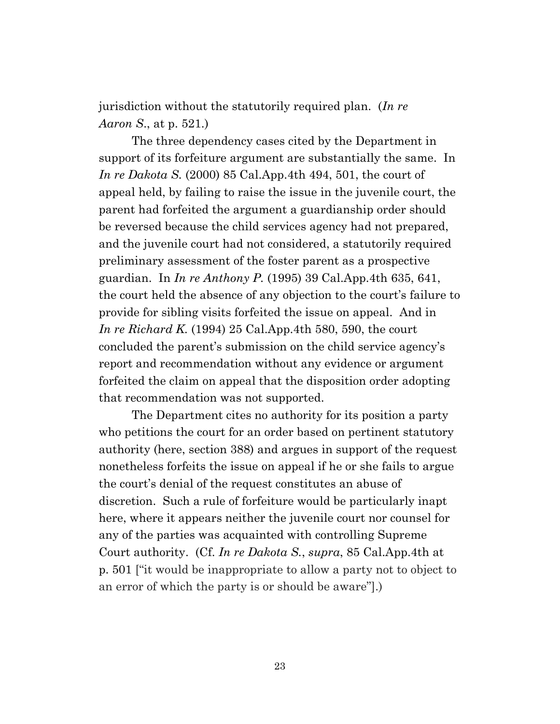jurisdiction without the statutorily required plan. (*In re Aaron S*., at p. 521.)

The three dependency cases cited by the Department in support of its forfeiture argument are substantially the same. In *In re Dakota S.* (2000) 85 Cal.App.4th 494, 501, the court of appeal held, by failing to raise the issue in the juvenile court, the parent had forfeited the argument a guardianship order should be reversed because the child services agency had not prepared, and the juvenile court had not considered, a statutorily required preliminary assessment of the foster parent as a prospective guardian. In *In re Anthony P.* (1995) 39 Cal.App.4th 635, 641, the court held the absence of any objection to the court's failure to provide for sibling visits forfeited the issue on appeal. And in *In re Richard K.* (1994) 25 Cal.App.4th 580, 590, the court concluded the parent's submission on the child service agency's report and recommendation without any evidence or argument forfeited the claim on appeal that the disposition order adopting that recommendation was not supported.

The Department cites no authority for its position a party who petitions the court for an order based on pertinent statutory authority (here, section 388) and argues in support of the request nonetheless forfeits the issue on appeal if he or she fails to argue the court's denial of the request constitutes an abuse of discretion. Such a rule of forfeiture would be particularly inapt here, where it appears neither the juvenile court nor counsel for any of the parties was acquainted with controlling Supreme Court authority. (Cf. *In re Dakota S.*, *supra*, 85 Cal.App.4th at p. 501 ["it would be inappropriate to allow a party not to object to an error of which the party is or should be aware"].)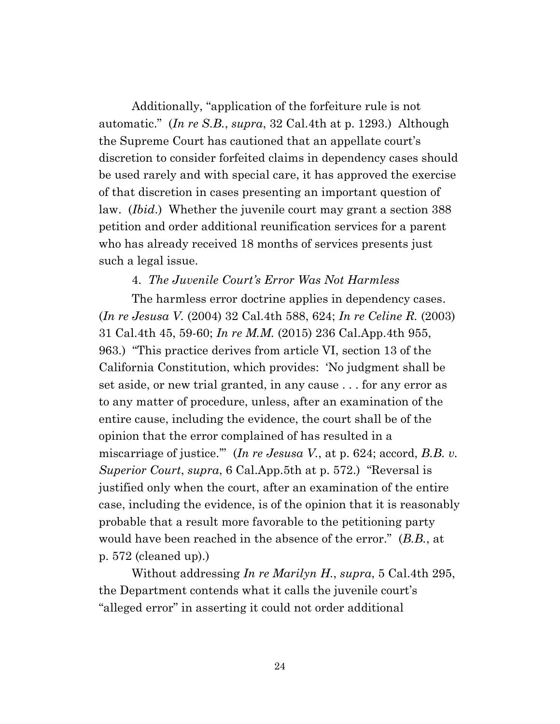Additionally, "application of the forfeiture rule is not automatic." (*In re S.B.*, *supra*, 32 Cal.4th at p. 1293.) Although the Supreme Court has cautioned that an appellate court's discretion to consider forfeited claims in dependency cases should be used rarely and with special care, it has approved the exercise of that discretion in cases presenting an important question of law. (*Ibid*.) Whether the juvenile court may grant a section 388 petition and order additional reunification services for a parent who has already received 18 months of services presents just such a legal issue.

#### 4. *The Juvenile Court's Error Was Not Harmless*

The harmless error doctrine applies in dependency cases. (*In re Jesusa V.* (2004) 32 Cal.4th 588, 624; *In re Celine R.* (2003) 31 Cal.4th 45, 59-60; *In re M.M.* (2015) 236 Cal.App.4th 955, 963.) "This practice derives from article VI, section 13 of the California Constitution, which provides: 'No judgment shall be set aside, or new trial granted, in any cause . . . for any error as to any matter of procedure, unless, after an examination of the entire cause, including the evidence, the court shall be of the opinion that the error complained of has resulted in a miscarriage of justice.'" (*In re Jesusa V.*, at p. 624; accord, *B.B. v. Superior Court*, *supra*, 6 Cal.App.5th at p. 572.) "Reversal is justified only when the court, after an examination of the entire case, including the evidence, is of the opinion that it is reasonably probable that a result more favorable to the petitioning party would have been reached in the absence of the error." (*B.B.*, at p. 572 (cleaned up).)

Without addressing *In re Marilyn H.*, *supra*, 5 Cal.4th 295, the Department contends what it calls the juvenile court's "alleged error" in asserting it could not order additional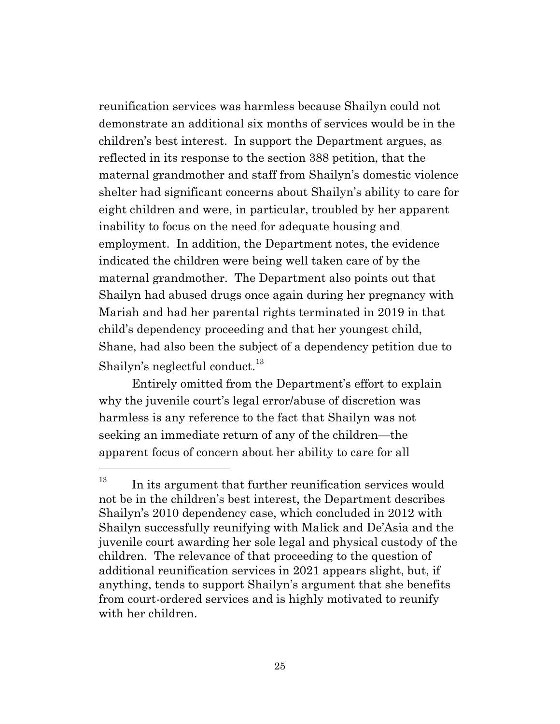reunification services was harmless because Shailyn could not demonstrate an additional six months of services would be in the children's best interest. In support the Department argues, as reflected in its response to the section 388 petition, that the maternal grandmother and staff from Shailyn's domestic violence shelter had significant concerns about Shailyn's ability to care for eight children and were, in particular, troubled by her apparent inability to focus on the need for adequate housing and employment. In addition, the Department notes, the evidence indicated the children were being well taken care of by the maternal grandmother. The Department also points out that Shailyn had abused drugs once again during her pregnancy with Mariah and had her parental rights terminated in 2019 in that child's dependency proceeding and that her youngest child, Shane, had also been the subject of a dependency petition due to Shailyn's neglectful conduct. $^{13}$ 

Entirely omitted from the Department's effort to explain why the juvenile court's legal error/abuse of discretion was harmless is any reference to the fact that Shailyn was not seeking an immediate return of any of the children—the apparent focus of concern about her ability to care for all

 $13$  In its argument that further reunification services would not be in the children's best interest, the Department describes Shailyn's 2010 dependency case, which concluded in 2012 with Shailyn successfully reunifying with Malick and De'Asia and the juvenile court awarding her sole legal and physical custody of the children. The relevance of that proceeding to the question of additional reunification services in 2021 appears slight, but, if anything, tends to support Shailyn's argument that she benefits from court-ordered services and is highly motivated to reunify with her children.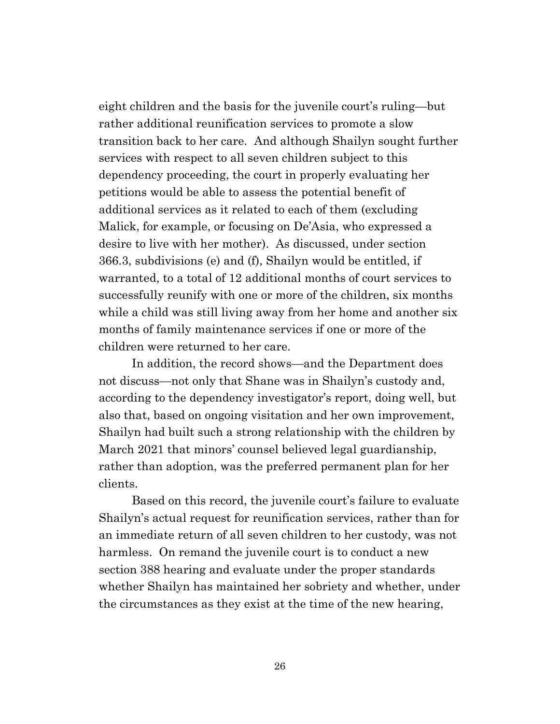eight children and the basis for the juvenile court's ruling—but rather additional reunification services to promote a slow transition back to her care. And although Shailyn sought further services with respect to all seven children subject to this dependency proceeding, the court in properly evaluating her petitions would be able to assess the potential benefit of additional services as it related to each of them (excluding Malick, for example, or focusing on De'Asia, who expressed a desire to live with her mother). As discussed, under section 366.3, subdivisions (e) and (f), Shailyn would be entitled, if warranted, to a total of 12 additional months of court services to successfully reunify with one or more of the children, six months while a child was still living away from her home and another six months of family maintenance services if one or more of the children were returned to her care.

In addition, the record shows—and the Department does not discuss—not only that Shane was in Shailyn's custody and, according to the dependency investigator's report, doing well, but also that, based on ongoing visitation and her own improvement, Shailyn had built such a strong relationship with the children by March 2021 that minors' counsel believed legal guardianship, rather than adoption, was the preferred permanent plan for her clients.

Based on this record, the juvenile court's failure to evaluate Shailyn's actual request for reunification services, rather than for an immediate return of all seven children to her custody, was not harmless. On remand the juvenile court is to conduct a new section 388 hearing and evaluate under the proper standards whether Shailyn has maintained her sobriety and whether, under the circumstances as they exist at the time of the new hearing,